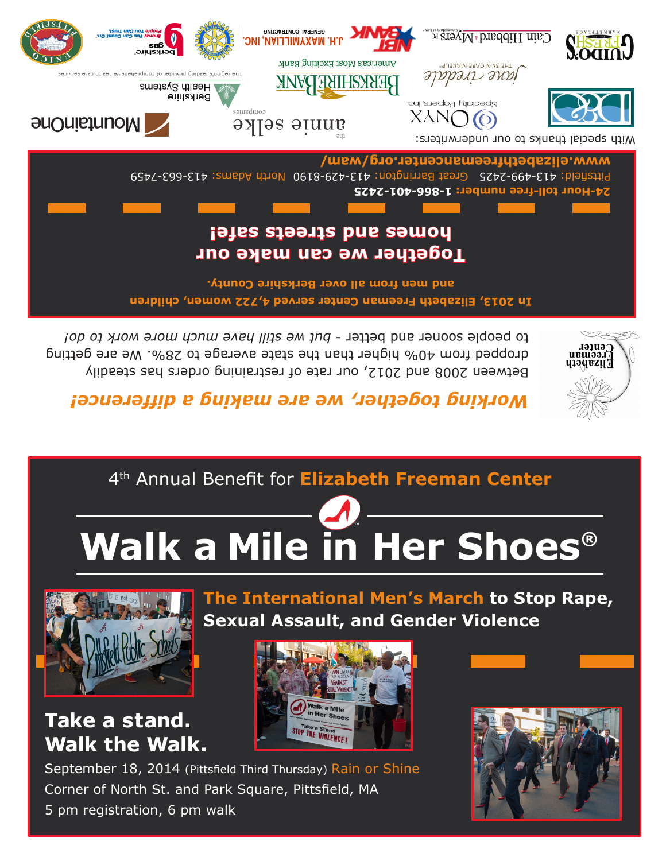September 18, 2014 (Pittsfield Third Thursday) Rain or Shine Corner of North St. and Park Square, Pittsfield, MA 5 pm registration, 6 pm walk

## **Take a stand. Walk the Walk.**







**The International Men's March to Stop Rape, Sexual Assault, and Gender Violence**

# **Walk a Mile in Her Shoes**®

### 4th Annual Benefit for **Elizabeth Freeman Center**

### *nce! ing together, we are making a differe Work*

ween 2008 and 2012, our rate of restraining orders has steadily Bet dropped from 40% higher than the state average to 28%. We are getting to people sooner and better - but we still have much more work to do!